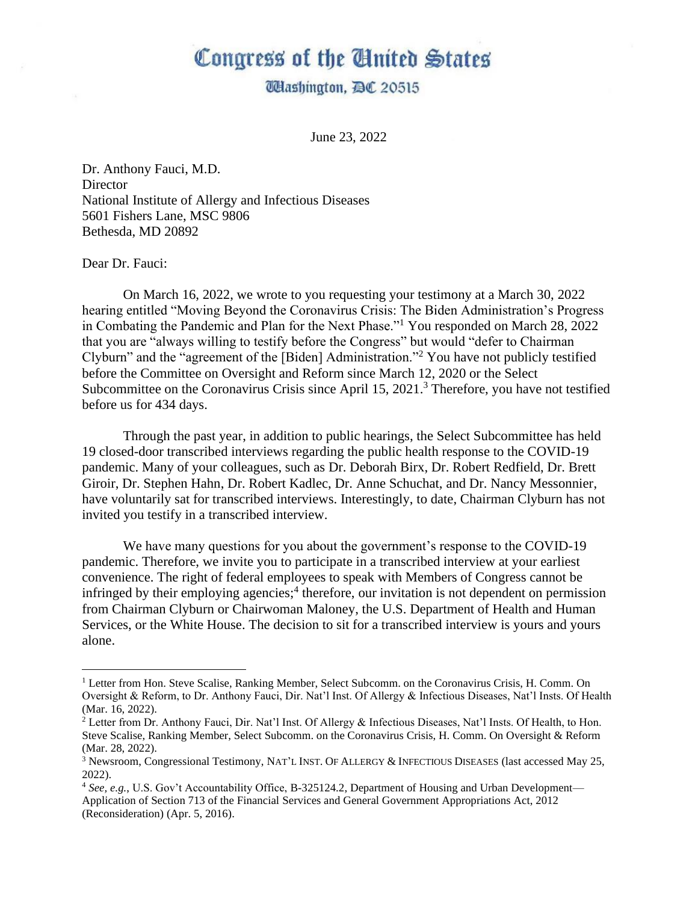## Congress of the Ginited States

**Udashington, DC 20515** 

June 23, 2022

Dr. Anthony Fauci, M.D. **Director** National Institute of Allergy and Infectious Diseases 5601 Fishers Lane, MSC 9806 Bethesda, MD 20892

Dear Dr. Fauci:

On March 16, 2022, we wrote to you requesting your testimony at a March 30, 2022 hearing entitled "Moving Beyond the Coronavirus Crisis: The Biden Administration's Progress in Combating the Pandemic and Plan for the Next Phase."<sup>1</sup> You responded on March 28, 2022 that you are "always willing to testify before the Congress" but would "defer to Chairman Clyburn" and the "agreement of the [Biden] Administration."<sup>2</sup> You have not publicly testified before the Committee on Oversight and Reform since March 12, 2020 or the Select Subcommittee on the Coronavirus Crisis since April 15, 2021.<sup>3</sup> Therefore, you have not testified before us for 434 days.

Through the past year, in addition to public hearings, the Select Subcommittee has held 19 closed-door transcribed interviews regarding the public health response to the COVID-19 pandemic. Many of your colleagues, such as Dr. Deborah Birx, Dr. Robert Redfield, Dr. Brett Giroir, Dr. Stephen Hahn, Dr. Robert Kadlec, Dr. Anne Schuchat, and Dr. Nancy Messonnier, have voluntarily sat for transcribed interviews. Interestingly, to date, Chairman Clyburn has not invited you testify in a transcribed interview.

We have many questions for you about the government's response to the COVID-19 pandemic. Therefore, we invite you to participate in a transcribed interview at your earliest convenience. The right of federal employees to speak with Members of Congress cannot be infringed by their employing agencies;<sup>4</sup> therefore, our invitation is not dependent on permission from Chairman Clyburn or Chairwoman Maloney, the U.S. Department of Health and Human Services, or the White House. The decision to sit for a transcribed interview is yours and yours alone.

<sup>&</sup>lt;sup>1</sup> Letter from Hon. Steve Scalise, Ranking Member, Select Subcomm. on the Coronavirus Crisis, H. Comm. On Oversight & Reform, to Dr. Anthony Fauci, Dir. Nat'l Inst. Of Allergy & Infectious Diseases, Nat'l Insts. Of Health (Mar. 16, 2022).

<sup>2</sup> Letter from Dr. Anthony Fauci, Dir. Nat'l Inst. Of Allergy & Infectious Diseases, Nat'l Insts. Of Health, to Hon. Steve Scalise, Ranking Member, Select Subcomm. on the Coronavirus Crisis, H. Comm. On Oversight & Reform (Mar. 28, 2022).

<sup>3</sup> Newsroom, Congressional Testimony, NAT'L INST. OF ALLERGY & INFECTIOUS DISEASES (last accessed May 25, 2022).

<sup>4</sup> *See, e.g.*, U.S. Gov't Accountability Office, B-325124.2, Department of Housing and Urban Development— Application of Section 713 of the Financial Services and General Government Appropriations Act, 2012 (Reconsideration) (Apr. 5, 2016).